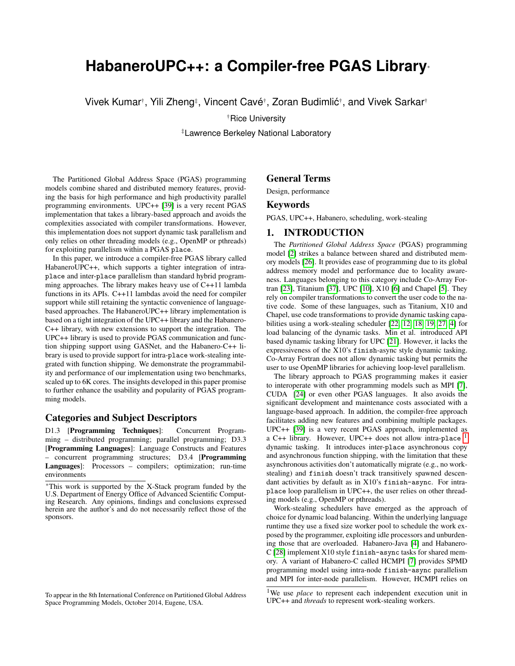# <span id="page-0-0"></span>**HabaneroUPC++: a Compiler-free PGAS Library**<sup>∗</sup>

Vivek Kumar†, Yili Zheng‡, Vincent Cavé†, Zoran Budimlić†, and Vivek Sarkar†

†Rice University

‡Lawrence Berkeley National Laboratory

The Partitioned Global Address Space (PGAS) programming models combine shared and distributed memory features, providing the basis for high performance and high productivity parallel programming environments. UPC++ [\[39\]](#page-9-0) is a very recent PGAS implementation that takes a library-based approach and avoids the complexities associated with compiler transformations. However, this implementation does not support dynamic task parallelism and only relies on other threading models (e.g., OpenMP or pthreads) for exploiting parallelism within a PGAS place.

In this paper, we introduce a compiler-free PGAS library called HabaneroUPC++, which supports a tighter integration of intraplace and inter-place parallelism than standard hybrid programming approaches. The library makes heavy use of C++11 lambda functions in its APIs. C++11 lambdas avoid the need for compiler support while still retaining the syntactic convenience of languagebased approaches. The HabaneroUPC++ library implementation is based on a tight integration of the UPC++ library and the Habanero-C++ library, with new extensions to support the integration. The UPC++ library is used to provide PGAS communication and function shipping support using GASNet, and the Habanero-C++ library is used to provide support for intra-place work-stealing integrated with function shipping. We demonstrate the programmability and performance of our implementation using two benchmarks, scaled up to 6K cores. The insights developed in this paper promise to further enhance the usability and popularity of PGAS programming models.

# Categories and Subject Descriptors

D1.3 [Programming Techniques]: Concurrent Programming – distributed programming; parallel programming; D3.3 [Programming Languages]: Language Constructs and Features – concurrent programming structures; D3.4 [Programming Languages]: Processors – compilers; optimization; run-time environments

#### To appear in the 8th International Conference on Partitioned Global Address Space Programming Models, October 2014, Eugene, USA.

### General Terms

Design, performance

#### Keywords

PGAS, UPC++, Habanero, scheduling, work-stealing

### 1. INTRODUCTION

The *Partitioned Global Address Space* (PGAS) programming model [\[2\]](#page-9-1) strikes a balance between shared and distributed memory models [\[26\]](#page-9-2). It provides ease of programming due to its global address memory model and performance due to locality awareness. Languages belonging to this category include Co-Array Fortran [\[23\]](#page-9-3), Titanium [\[37\]](#page-9-4), UPC [\[10\]](#page-9-5), X10 [\[6\]](#page-9-6) and Chapel [\[5\]](#page-9-7). They rely on compiler transformations to convert the user code to the native code. Some of these languages, such as Titanium, X10 and Chapel, use code transformations to provide dynamic tasking capabilities using a work-stealing scheduler [\[22,](#page-9-8) [12,](#page-9-9) [18,](#page-9-10) [19,](#page-9-11) [27,](#page-9-12) [4\]](#page-9-13) for load balancing of the dynamic tasks. Min et al. introduced API based dynamic tasking library for UPC [\[21\]](#page-9-14). However, it lacks the expressiveness of the X10's finish-async style dynamic tasking. Co-Array Fortran does not allow dynamic tasking but permits the user to use OpenMP libraries for achieving loop-level parallelism.

The library approach to PGAS programming makes it easier to interoperate with other programming models such as MPI [\[7\]](#page-9-15), CUDA [\[24\]](#page-9-16) or even other PGAS languages. It also avoids the significant development and maintenance costs associated with a language-based approach. In addition, the compiler-free approach facilitates adding new features and combining multiple packages. UPC++ [\[39\]](#page-9-0) is a very recent PGAS approach, implemented as a C++ library. However, UPC++ does not allow intra-place  $<sup>1</sup>$ </sup> dynamic tasking. It introduces inter-place asynchronous copy and asynchronous function shipping, with the limitation that these asynchronous activities don't automatically migrate (e.g., no workstealing) and finish doesn't track transitively spawned descendant activities by default as in X10's finish-async. For intraplace loop parallelism in UPC++, the user relies on other threading models (e.g., OpenMP or pthreads).

Work-stealing schedulers have emerged as the approach of choice for dynamic load balancing. Within the underlying language runtime they use a fixed size worker pool to schedule the work exposed by the programmer, exploiting idle processors and unburdening those that are overloaded. Habanero-Java [\[4\]](#page-9-13) and Habanero-C [\[28\]](#page-9-17) implement X10 style finish-async tasks for shared memory. A variant of Habanero-C called HCMPI [\[7\]](#page-9-15) provides SPMD programming model using intra-node finish-async parallelism and MPI for inter-node parallelism. However, HCMPI relies on

<sup>∗</sup>This work is supported by the X-Stack program funded by the U.S. Department of Energy Office of Advanced Scientific Computing Research. Any opinions, findings and conclusions expressed herein are the author's and do not necessarily reflect those of the sponsors.

<sup>&</sup>lt;sup>1</sup>We use *place* to represent each independent execution unit in UPC++ and *threads* to represent work-stealing workers.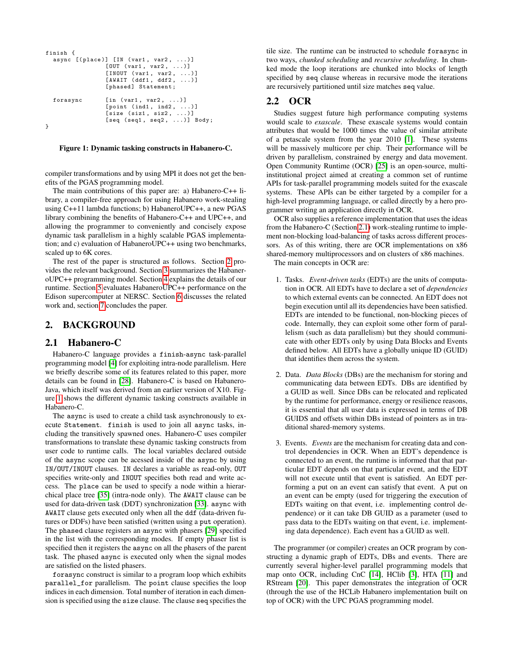```
finish {
  async [(place)] [IN (var1, var2, ...)]
                [00T (var1, var2, ...)[INOUT (var1, var2, ...)[AWAIT (ddf1, ddf2, ...)][phased] Statement;
  forasync [in (var1, var2, ...)]
                [point (ind1, ind2, ...)]
                [size (size1, size2, ...)]
                [seq (seq1, seq2, ...)] Body;}
```
#### <span id="page-1-1"></span>Figure 1: Dynamic tasking constructs in Habanero-C.

compiler transformations and by using MPI it does not get the benefits of the PGAS programming model.

The main contributions of this paper are: a) Habanero-C++ library, a compiler-free approach for using Habanero work-stealing using C++11 lambda functions; b) HabaneroUPC++, a new PGAS library combining the benefits of Habanero-C++ and UPC++, and allowing the programmer to conveniently and concisely expose dynamic task parallelism in a highly scalable PGAS implementation; and c) evaluation of HabaneroUPC++ using two benchmarks, scaled up to 6K cores.

The rest of the paper is structured as follows. Section [2](#page-1-0) provides the relevant background. Section [3](#page-3-0) summarizes the HabaneroUPC++ programming model. Section [4](#page-4-0) explains the details of our runtime. Section [5](#page-6-0) evaluates HabaneroUPC++ performance on the Edison supercomputer at NERSC. Section [6](#page-8-0) discusses the related work and, section [7](#page-8-1) concludes the paper.

# <span id="page-1-0"></span>2. BACKGROUND

### <span id="page-1-2"></span>2.1 Habanero-C

Habanero-C language provides a finish-async task-parallel programming model [\[4\]](#page-9-13) for exploiting intra-node parallelism. Here we briefly describe some of its features related to this paper, more details can be found in [\[28\]](#page-9-17). Habanero-C is based on Habanero-Java, which itself was derived from an earlier version of X10. Figure [1](#page-1-1) shows the different dynamic tasking constructs available in Habanero-C.

The async is used to create a child task asynchronously to execute Statement. finish is used to join all async tasks, including the transitively spawned ones. Habanero-C uses compiler transformations to translate these dynamic tasking constructs from user code to runtime calls. The local variables declared outside of the async scope can be acessed inside of the async by using IN/OUT/INOUT clauses. IN declares a variable as read-only, OUT specifies write-only and INOUT specifies both read and write access. The place can be used to specify a node within a hierarchical place tree [\[35\]](#page-9-18) (intra-node only). The AWAIT clause can be used for data-driven task (DDT) synchronization [\[33\]](#page-9-19). async with AWAIT clause gets executed only when all the ddf (data-driven futures or DDFs) have been satisfied (written using a put operation). The phased clause registers an async with phasers [\[29\]](#page-9-20) specified in the list with the corresponding modes. If empty phaser list is specified then it registers the async on all the phasers of the parent task. The phased async is executed only when the signal modes are satisfied on the listed phasers.

forasync construct is similar to a program loop which exhibits parallel\_for parallelism. The point clause specifies the loop indices in each dimension. Total number of iteration in each dimension is specified using the size clause. The clause seq specifies the tile size. The runtime can be instructed to schedule forasync in two ways, *chunked scheduling* and *recursive scheduling*. In chunked mode the loop iterations are chunked into blocks of length specified by seq clause whereas in recursive mode the iterations are recursively partitioned until size matches seq value.

# <span id="page-1-3"></span>2.2 OCR

Studies suggest future high performance computing systems would scale to *exascale*. These exascale systems would contain attributes that would be 1000 times the value of similar attribute of a petascale system from the year 2010 [\[1\]](#page-9-21). These systems will be massively multicore per chip. Their performance will be driven by parallelism, constrained by energy and data movement. Open Community Runtime (OCR) [\[25\]](#page-9-22) is an open-source, multiinstitutional project aimed at creating a common set of runtime APIs for task-parallel programming models suited for the exascale systems. These APIs can be either targeted by a compiler for a high-level programming language, or called directly by a hero programmer writing an application directly in OCR.

OCR also supplies a reference implementation that uses the ideas from the Habanero-C (Section [2.1\)](#page-1-2) work-stealing runtime to implement non-blocking load-balancing of tasks across different processors. As of this writing, there are OCR implementations on x86 shared-memory multiprocessors and on clusters of x86 machines.

The main concepts in OCR are:

- 1. Tasks. *Event-driven tasks* (EDTs) are the units of computation in OCR. All EDTs have to declare a set of *dependencies* to which external events can be connected. An EDT does not begin execution until all its dependencies have been satisfied. EDTs are intended to be functional, non-blocking pieces of code. Internally, they can exploit some other form of parallelism (such as data parallelism) but they should communicate with other EDTs only by using Data Blocks and Events defined below. All EDTs have a globally unique ID (GUID) that identifies them across the system.
- 2. Data. *Data Blocks* (DBs) are the mechanism for storing and communicating data between EDTs. DBs are identified by a GUID as well. Since DBs can be relocated and replicated by the runtime for performance, energy or resilience reasons, it is essential that all user data is expressed in terms of DB GUIDS and offsets within DBs instead of pointers as in traditional shared-memory systems.
- 3. Events. *Events* are the mechanism for creating data and control dependencies in OCR. When an EDT's dependence is connected to an event, the runtime is informed that that particular EDT depends on that particular event, and the EDT will not execute until that event is satisfied. An EDT performing a put on an event can satisfy that event. A put on an event can be empty (used for triggering the execution of EDTs waiting on that event, i.e. implementing control dependence) or it can take DB GUID as a parameter (used to pass data to the EDTs waiting on that event, i.e. implementing data dependence). Each event has a GUID as well.

The programmer (or compiler) creates an OCR program by constructing a dynamic graph of EDTs, DBs and events. There are currently several higher-level parallel programming models that map onto OCR, including CnC [\[14\]](#page-9-23), HClib [\[3\]](#page-9-24), HTA [\[11\]](#page-9-25) and RStream [\[20\]](#page-9-26). This paper demonstrates the integration of OCR (through the use of the HCLib Habanero implementation built on top of OCR) with the UPC PGAS programming model.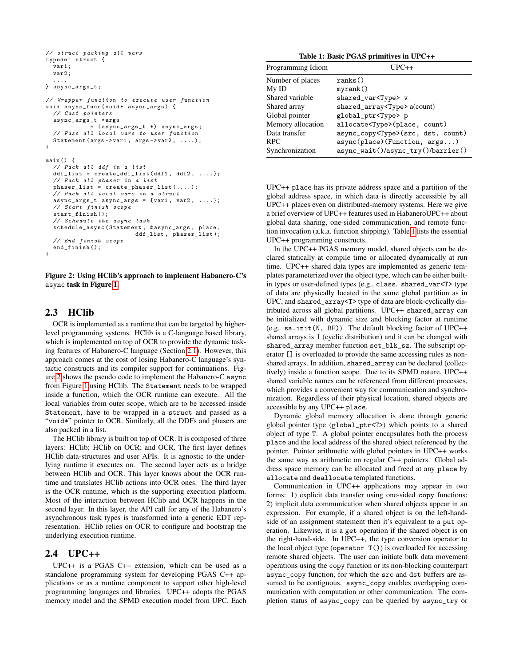```
// struct packing all vars
typedef struct {
  var1 ;
  var2 ;
....
} async_args_t ;
// Wrapper function to execute user function
void async_func ( void * async_args ) {
  // Cast pointers
  async_args_t * args
             = (\text{async}_{args_t} * ) async_args;
  // Pass all local vars to user function
  Statement (args -> var1, args -> var2, ....);
}
main () {
  // Pack all ddf in a list
  ddf list = create_ddf list (ddf1, ddf2, ....);
  // Pack all phaser in a list
  phaser_list = create_phaser_list (....);
// Pack all local vars in a struct
  async_args_t async_args = { var1 , var2 , ....};
  // Start finish scope
  start finish ():
  // Schedule the async task
  schedule_async ( Statement , & async_args , place ,
                           ddf_list, phaser_list);
  // End finish scope
  end_finish ();
}
```
<span id="page-2-0"></span>Figure 2: Using HClib's approach to implement Habanero-C's async task in Figure [1.](#page-1-1)

# <span id="page-2-3"></span>2.3 HClib

OCR is implemented as a runtime that can be targeted by higherlevel programming systems. HClib is a C-language based library, which is implemented on top of OCR to provide the dynamic tasking features of Habanero-C language (Section [2.1\)](#page-1-2). However, this approach comes at the cost of losing Habanero-C language's syntactic constructs and its compiler support for continuations. Figure [2](#page-2-0) shows the pseudo code to implement the Habanero-C async from Figure [1](#page-1-1) using HClib. The Statement needs to be wrapped inside a function, which the OCR runtime can execute. All the local variables from outer scope, which are to be accessed inside Statement, have to be wrapped in a struct and passed as a "void\*" pointer to OCR. Similarly, all the DDFs and phasers are also packed in a list.

The HClib library is built on top of OCR. It is composed of three layers: HClib; HClib on OCR; and OCR. The first layer defines HClib data-structures and user APIs. It is agnostic to the underlying runtime it executes on. The second layer acts as a bridge between HClib and OCR. This layer knows about the OCR runtime and translates HClib actions into OCR ones. The third layer is the OCR runtime, which is the supporting execution platform. Most of the interaction between HClib and OCR happens in the second layer. In this layer, the API call for any of the Habanero's asynchronous task types is transformed into a generic EDT representation. HClib relies on OCR to configure and bootstrap the underlying execution runtime.

### <span id="page-2-2"></span>2.4 UPC++

UPC++ is a PGAS C++ extension, which can be used as a standalone programming system for developing PGAS C++ applications or as a runtime component to support other high-level programming languages and libraries. UPC++ adopts the PGAS memory model and the SPMD execution model from UPC. Each

Table 1: Basic PGAS primitives in UPC++

<span id="page-2-1"></span>

| Programming Idiom | $UPC++$                                   |
|-------------------|-------------------------------------------|
| Number of places  | ranks()                                   |
| My ID             | myrank()                                  |
| Shared variable   | shared_var <type> v</type>                |
| Shared array      | shared_array <type> a(count)</type>       |
| Global pointer    | global_ptr <type> p</type>                |
| Memory allocation | allocate <type>(place, count)</type>      |
| Data transfer     | async_copy <type>(src, dst, count)</type> |
| RPC.              | async(place)(Function, args)              |
| Synchronization   | async_wait()/async_try()/barrier()        |

UPC++ place has its private address space and a partition of the global address space, in which data is directly accessible by all UPC++ places even on distributed-memory systems. Here we give a brief overview of UPC++ features used in HabaneroUPC++ about global data sharing, one-sided communication, and remote function invocation (a.k.a. function shipping). Table [1](#page-2-1) lists the essential UPC++ programming constructs.

In the UPC++ PGAS memory model, shared objects can be declared statically at compile time or allocated dynamically at run time. UPC++ shared data types are implemented as generic templates parameterized over the object type, which can be either builtin types or user-defined types (e.g., class. shared\_var<T> type of data are physically located in the same global partition as in UPC, and shared\_array<T> type of data are block-cyclically distributed across all global partitions. UPC++ shared\_array can be initialized with dynamic size and blocking factor at runtime (e.g. sa.init(N, BF)). The default blocking factor of UPC++ shared arrays is 1 (cyclic distribution) and it can be changed with shared\_array member function set\_blk\_sz. The subscript operator [] is overloaded to provide the same accessing rules as nonshared arrays. In addition, shared\_array can be declared (collectively) inside a function scope. Due to its SPMD nature, UPC++ shared variable names can be referenced from different processes, which provides a convenient way for communication and synchronization. Regardless of their physical location, shared objects are accessible by any UPC++ place.

Dynamic global memory allocation is done through generic global pointer type (global\_ptr<T>) which points to a shared object of type T. A global pointer encapsulates both the process place and the local address of the shared object referenced by the pointer. Pointer arithmetic with global pointers in UPC++ works the same way as arithmetic on regular C++ pointers. Global address space memory can be allocated and freed at any place by allocate and deallocate templated functions.

Communication in UPC++ applications may appear in two forms: 1) explicit data transfer using one-sided copy functions; 2) implicit data communication when shared objects appear in an expression. For example, if a shared object is on the left-handside of an assignment statement then it's equivalent to a put operation. Likewise, it is a get operation if the shared object is on the right-hand-side. In UPC++, the type conversion operator to the local object type (operator  $T()$ ) is overloaded for accessing remote shared objects. The user can initiate bulk data movement operations using the copy function or its non-blocking counterpart async\_copy function, for which the src and dst buffers are assumed to be contiguous. async\_copy enables overlapping communication with computation or other communication. The completion status of async\_copy can be queried by async\_try or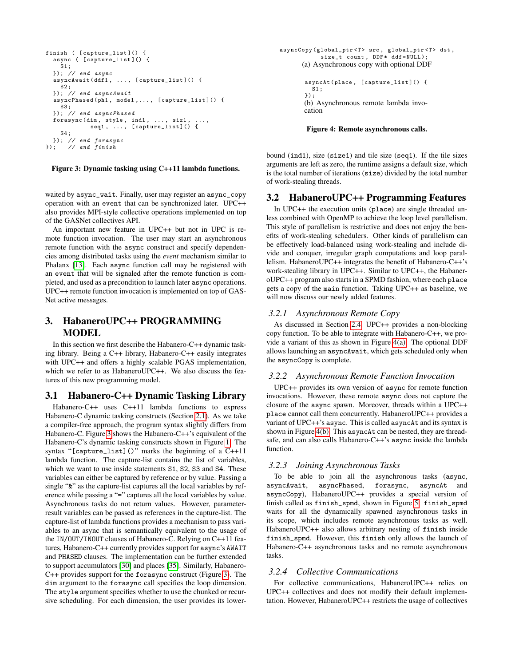```
finish ( [capture_list]() {
  async ( [capture_list]() {
    S1;
  }); // end async
  asyncAwait (ddf1, ..., [capture_list] () {
  S2 ;
}); // end asyncAwait
  asyncPhased ( ph1 , mode1 ,... , [ capture_list ]() {
    S3 ;
  }); // end asyncPhased
  for a sync ( dim, <i>style</i>, ind1, ..., si21, ...,seq1, \ldots, [capture_list]() {
    S4 ;
\}); // end forasync<br>\}): // end finish
     // end finish
```
<span id="page-3-1"></span>Figure 3: Dynamic tasking using C++11 lambda functions.

waited by async\_wait. Finally, user may register an async\_copy operation with an event that can be synchronized later. UPC++ also provides MPI-style collective operations implemented on top of the GASNet collectives API.

An important new feature in UPC++ but not in UPC is remote function invocation. The user may start an asynchronous remote function with the async construct and specify dependencies among distributed tasks using the *event* mechanism similar to Phalanx [\[13\]](#page-9-27). Each async function call may be registered with an event that will be signaled after the remote function is completed, and used as a precondition to launch later async operations. UPC++ remote function invocation is implemented on top of GAS-Net active messages.

# <span id="page-3-0"></span>3. HabaneroUPC++ PROGRAMMING MODEL

In this section we first describe the Habanero-C++ dynamic tasking library. Being a C++ library, Habanero-C++ easily integrates with UPC++ and offers a highly scalable PGAS implementation, which we refer to as HabaneroUPC++. We also discuss the features of this new programming model.

# 3.1 Habanero-C++ Dynamic Tasking Library

Habanero-C++ uses C++11 lambda functions to express Habanero-C dynamic tasking constructs (Section [2.1\)](#page-1-2). As we take a compiler-free approach, the program syntax slightly differs from Habanero-C. Figure [3](#page-3-1) shows the Habanero-C++'s equivalent of the Habanero-C's dynamic tasking constructs shown in Figure [1.](#page-1-1) The syntax "[capture\_list]()" marks the beginning of a  $C+11$ lambda function. The capture-list contains the list of variables, which we want to use inside statements S1, S2, S3 and S4. These variables can either be captured by reference or by value. Passing a single "&" as the capture-list captures all the local variables by reference while passing a "=" captures all the local variables by value. Asynchronous tasks do not return values. However, parameterresult variables can be passed as references in the capture-list. The capture-list of lambda functions provides a mechanism to pass variables to an async that is semantically equivalent to the usage of the IN/OUT/INOUT clauses of Habanero-C. Relying on C++11 features, Habanero-C++ currently provides support for async's AWAIT and PHASED clauses. The implementation can be further extended to support accumulators [\[30\]](#page-9-28) and places [\[35\]](#page-9-18). Similarly, Habanero-C++ provides support for the forasync construct (Figure [3\)](#page-3-1). The dim argument to the forasync call specifies the loop dimension. The style argument specifies whether to use the chunked or recursive scheduling. For each dimension, the user provides its lower-

```
asyncCopy (global_ptr <T> src, global_ptr <T> dst,<br>size_t count, DDF* ddf=NULL);
       (a) Asynchronous copy with optional DDF
        asyncAt (place, [capture_list] () {
           S1 ;
        });
        (b) Asynchronous remote lambda invo-
        cation
```
Figure 4: Remote asynchronous calls.

bound (ind1), size (size1) and tile size (seq1). If the tile sizes arguments are left as zero, the runtime assigns a default size, which is the total number of iterations (size) divided by the total number of work-stealing threads.

# 3.2 HabaneroUPC++ Programming Features

In UPC++ the execution units (place) are single threaded unless combined with OpenMP to achieve the loop level parallelism. This style of parallelism is restrictive and does not enjoy the benefits of work-stealing schedulers. Other kinds of parallelism can be effectively load-balanced using work-stealing and include divide and conquer, irregular graph computations and loop parallelism. HabaneroUPC++ integrates the benefit of Habanero-C++'s work-stealing library in UPC++. Similar to UPC++, the HabaneroUPC++ program also starts in a SPMD fashion, where each place gets a copy of the main function. Taking UPC++ as baseline, we will now discuss our newly added features.

### *3.2.1 Asynchronous Remote Copy*

As discussed in Section [2.4,](#page-2-2) UPC++ provides a non-blocking copy function. To be able to integrate with Habanero-C++, we provide a variant of this as shown in Figure [4\(a\).](#page-0-0) The optional DDF allows launching an asyncAwait, which gets scheduled only when the asyncCopy is complete.

### *3.2.2 Asynchronous Remote Function Invocation*

UPC++ provides its own version of async for remote function invocations. However, these remote async does not capture the closure of the async spawn. Moreover, threads within a UPC++ place cannot call them concurrently. HabaneroUPC++ provides a variant of UPC++'s async. This is called asyncAt and its syntax is shown in Figure [4\(b\).](#page-0-0) This asyncAt can be nested, they are threadsafe, and can also calls Habanero-C++'s async inside the lambda function.

#### *3.2.3 Joining Asynchronous Tasks*

To be able to join all the asynchronous tasks (async, asyncAwait, asyncPhased, forasync, asyncAt and asyncCopy), HabaneroUPC++ provides a special version of finish called as finish\_spmd, shown in Figure [5.](#page-4-1) finish\_spmd waits for all the dynamically spawned asynchronous tasks in its scope, which includes remote asynchronous tasks as well. HabaneroUPC++ also allows arbitrary nesting of finish inside finish\_spmd. However, this finish only allows the launch of Habanero-C++ asynchronous tasks and no remote asynchronous tasks.

### *3.2.4 Collective Communications*

For collective communications, HabaneroUPC++ relies on UPC++ collectives and does not modify their default implementation. However, HabaneroUPC++ restricts the usage of collectives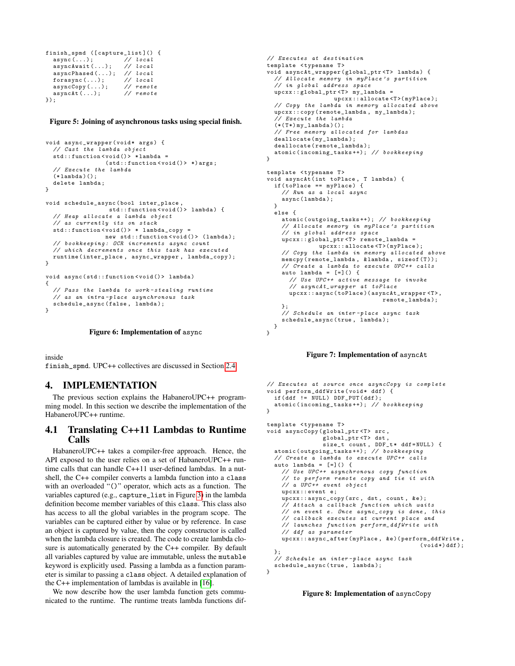```
finish_spmd ([ capture_list ]() {
    async (...); // local
asyncAwait (...); // local
   asyncPhase d(...); // local<br>forasync(...); // localfor a sync(...); // local<br>asyncCopy(...); // remote
   \texttt{asyncCopy} (...); \qquad \textit{// remote}<br>\texttt{asvncAt} (...); \qquad \textit{// remote}asyncAt(...);
});
```
<span id="page-4-1"></span>Figure 5: Joining of asynchronous tasks using special finish.

```
void async_wrapper (void* args) {
  // Cast the lambda object
  std::function < void() > *lambda =(stat:function<void()) *) args:
  // Execute the lambda
  (* lambda)(;
  delete lambda ;
\overline{1}void schedule_async ( bool inter_place ,
                  std::function<void()> lambda) {
  // Heap allocate a lambda object
  // as currently its on stack
  std :: function < void () > * lambda_copy =
                new std :: function < void () > ( lambda );
  // bookkeeping: OCR increments async count
  // which decrements once this task has executed
  runtime ( inter_place , async_wrapper , lambda_copy );
}
void async (std:: function <void ()> lambda)
{
  // Pass the lambda to work - stealing runtime
  // as an intra-place asynchronous task
  schedule_async(false, lambda);
}
```
Figure 6: Implementation of async

<span id="page-4-2"></span>inside

finish\_spmd. UPC++ collectives are discussed in Section [2.4.](#page-2-2)

### <span id="page-4-0"></span>4. IMPLEMENTATION

The previous section explains the HabaneroUPC++ programming model. In this section we describe the implementation of the HabaneroUPC++ runtime.

# 4.1 Translating C++11 Lambdas to Runtime Calls

HabaneroUPC++ takes a compiler-free approach. Hence, the API exposed to the user relies on a set of HabaneroUPC++ runtime calls that can handle C++11 user-defined lambdas. In a nutshell, the C++ compiler converts a lambda function into a class with an overloaded "()" operator, which acts as a function. The variables captured (e.g., capture\_list in Figure [3\)](#page-3-1) in the lambda definition become member variables of this class. This class also has access to all the global variables in the program scope. The variables can be captured either by value or by reference. In case an object is captured by value, then the copy constructor is called when the lambda closure is created. The code to create lambda closure is automatically generated by the C++ compiler. By default all variables captured by value are immutable, unless the mutable keyword is explicitly used. Passing a lambda as a function parameter is similar to passing a class object. A detailed explanation of the C++ implementation of lambdas is available in [\[16\]](#page-9-29).

We now describe how the user lambda function gets communicated to the runtime. The runtime treats lambda functions dif-

```
// Executes at destination
template <typename T>
void asyncAt_wrapper(global_ptr <T> lambda) {
  // Allocate memory in myPlace 's partition
// in global address space
  \frac{1}{2}upcxx::global_ptr <T> my_lambda =
                   upcxx :: allocate <T >( myPlace );
  // Copy the lambda in memory allocated above
  upcxx :: copy ( remote_lambda , my_lambda );
  // Execute the lambda
  (*(T*)my_1ambda)();
  // Free memory allocated for lambdas
  deallocate ( my_lambda );
  deallocate (remote lambda);
  atomic ( incoming_tasks ++); // bookkeeping
}
template <typename T>
void asyncAt ( int toPlace , T lambda ) {
  if ( toPlace == myPlace ) {
    // Run as a local async
    async ( lambda );
  \lambdaelse {
    atomic ( outgoing_tasks ++); // bookkeeping
    // Allocate memory in myPlace 's partition
    // in global address space
    upcxx::global_ptr<T> remote_lambda =
               upcxx::allocate<T>(myPlace);
    // Copy the lambda in memory allocated above
    memcpy ( remote_lambda , & lambda , sizeof (T ));
    // Create a lambda to execute UPC ++ calls
    auto lambda = [-]() {
      // Use UPC++ active message to invoke
      \frac{1}{2} asyncAt_wrapper at toPlace
      upcxx::async(toPlace)(asyncAt_wrapper <T>,
                                  remote lambda):
    };
    // Schedule an inter-place async task
    schedule_async (true, lambda);
 }
\mathbf{r}
```
#### Figure 7: Implementation of asyncAt

```
// Executes at source once asyncCopy is complete
void perform_ddfWrite (void* ddf) {
  if (ddf != NULL) DDF_PUT (ddf);atomic ( incoming_tasks ++); // bookkeeping
}
template <typename T>
void asyncCopy (global_ptr <T> src,
                  \text{global}_\text{ptr} <T> dst,
   size_t count , DDF_t * ddf = NULL ) {
atomic ( outgoing_tasks ++); // bookkeeping
  // Create a lambda to execute UPC++ calls
  auto lambda = [=\left( \begin{array}{cc} 1 \end{array} \right)// Use UPC ++ asynchronous copy function
// to perform remote copy and tie it with
     // a <i>UPC++ event</i> objectupcxx :: event e;
     upcxx :: async_copy ( src , dst , count , &e );
     // Attach a callback function which waits
     // on event e. Once async_copy is done, this
     // callback executes at current place and
     \angle/ launches function perform_ddfWrite with
     // ddf as parameter
     upcxx :: async_after ( myPlace , &e )( perform_ddfWrite ,
                                                   (void*)ddf:
  };
  // Schedule an inter-place async task
  schedule_async ( true , lambda );
}
```
<span id="page-4-4"></span>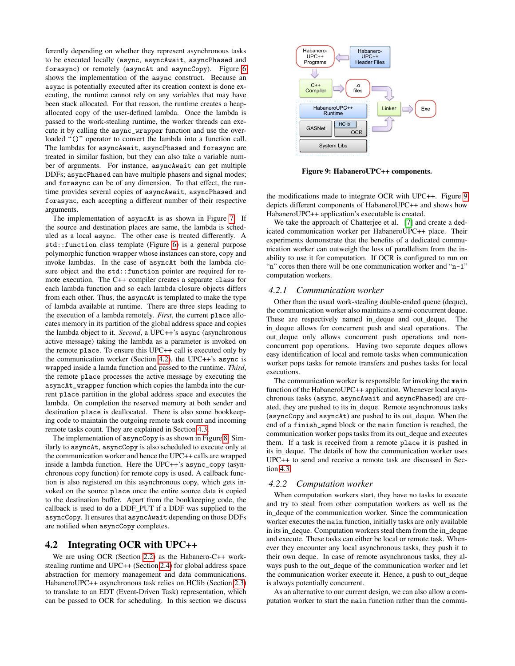ferently depending on whether they represent asynchronous tasks to be executed locally (async, asyncAwait, asyncPhased and forasync) or remotely (asyncAt and asyncCopy). Figure [6](#page-4-2) shows the implementation of the async construct. Because an async is potentially executed after its creation context is done executing, the runtime cannot rely on any variables that may have been stack allocated. For that reason, the runtime creates a heapallocated copy of the user-defined lambda. Once the lambda is passed to the work-stealing runtime, the worker threads can execute it by calling the async\_wrapper function and use the overloaded "()" operator to convert the lambda into a function call. The lambdas for asyncAwait, asyncPhased and forasync are treated in similar fashion, but they can also take a variable number of arguments. For instance, asyncAwait can get multiple DDFs; asyncPhased can have multiple phasers and signal modes; and forasync can be of any dimension. To that effect, the runtime provides several copies of asyncAwait, asyncPhased and forasync, each accepting a different number of their respective arguments.

The implementation of asyncAt is as shown in Figure [7.](#page-4-3) If the source and destination places are same, the lambda is scheduled as a local async. The other case is treated differently. A std::function class template (Figure [6\)](#page-4-2) is a general purpose polymorphic function wrapper whose instances can store, copy and invoke lambdas. In the case of asyncAt both the lambda closure object and the std:: function pointer are required for remote execution. The C++ compiler creates a separate class for each lambda function and so each lambda closure objects differs from each other. Thus, the asyncAt is templated to make the type of lambda available at runtime. There are three steps leading to the execution of a lambda remotely. *First*, the current place allocates memory in its partition of the global address space and copies the lambda object to it. *Second*, a UPC++'s async (asynchronous active message) taking the lambda as a parameter is invoked on the remote place. To ensure this UPC++ call is executed only by the communication worker (Section [4.2\)](#page-5-0), the UPC++'s async is wrapped inside a lamda function and passed to the runtime. *Third*, the remote place processes the active message by executing the asyncAt\_wrapper function which copies the lambda into the current place partition in the global address space and executes the lambda. On completion the reserved memory at both sender and destination place is deallocated. There is also some bookkeeping code to maintain the outgoing remote task count and incoming remote tasks count. They are explained in Section [4.3.](#page-6-1)

The implementation of asyncCopy is as shown in Figure [8.](#page-4-4) Similarly to asyncAt, asyncCopy is also scheduled to execute only at the communication worker and hence the UPC++ calls are wrapped inside a lambda function. Here the UPC++'s async\_copy (asynchronous copy function) for remote copy is used. A callback function is also registered on this asynchronous copy, which gets invoked on the source place once the entire source data is copied to the destination buffer. Apart from the bookkeeping code, the callback is used to do a DDF\_PUT if a DDF was supplied to the asyncCopy. It ensures that asyncAwait depending on those DDFs are notified when asyncCopy completes.

# <span id="page-5-0"></span>4.2 Integrating OCR with UPC++

We are using OCR (Section [2.2\)](#page-1-3) as the Habanero-C++ workstealing runtime and UPC++ (Section [2.4\)](#page-2-2) for global address space abstraction for memory management and data communications. HabaneroUPC++ asynchronous task relies on HClib (Section [2.3\)](#page-2-3) to translate to an EDT (Event-Driven Task) representation, which can be passed to OCR for scheduling. In this section we discuss



<span id="page-5-1"></span>Figure 9: HabaneroUPC++ components.

the modifications made to integrate OCR with UPC++. Figure [9](#page-5-1) depicts different components of HabaneroUPC++ and shows how HabaneroUPC++ application's executable is created.

We take the approach of Chatterjee et al. [\[7\]](#page-9-15) and create a dedicated communication worker per HabaneroUPC++ place. Their experiments demonstrate that the benefits of a dedicated communication worker can outweigh the loss of parallelism from the inability to use it for computation. If OCR is configured to run on "n" cores then there will be one communication worker and "n-1" computation workers.

#### <span id="page-5-2"></span>*4.2.1 Communication worker*

Other than the usual work-stealing double-ended queue (deque), the communication worker also maintains a semi-concurrent deque. These are respectively named in\_deque and out\_deque. The in\_deque allows for concurrent push and steal operations. The out\_deque only allows concurrent push operations and nonconcurrent pop operations. Having two separate deques allows easy identification of local and remote tasks when communication worker pops tasks for remote transfers and pushes tasks for local executions.

The communication worker is responsible for invoking the main function of the HabaneroUPC++ application. Whenever local asynchronous tasks (async, asyncAwait and asyncPhased) are created, they are pushed to its in\_deque. Remote asynchronous tasks (asyncCopy and asyncAt) are pushed to its out\_deque. When the end of a finish\_spmd block or the main function is reached, the communication worker pops tasks from its out\_deque and executes them. If a task is received from a remote place it is pushed in its in deque. The details of how the communication worker uses UPC++ to send and receive a remote task are discussed in Section [4.3.](#page-6-1)

#### <span id="page-5-3"></span>*4.2.2 Computation worker*

When computation workers start, they have no tasks to execute and try to steal from other computation workers as well as the in\_deque of the communication worker. Since the communication worker executes the main function, initially tasks are only available in its in\_deque. Computation workers steal them from the in\_deque and execute. These tasks can either be local or remote task. Whenever they encounter any local asynchronous tasks, they push it to their own deque. In case of remote asynchronous tasks, they always push to the out\_deque of the communication worker and let the communication worker execute it. Hence, a push to out\_deque is always potentially concurrent.

As an alternative to our current design, we can also allow a computation worker to start the main function rather than the commu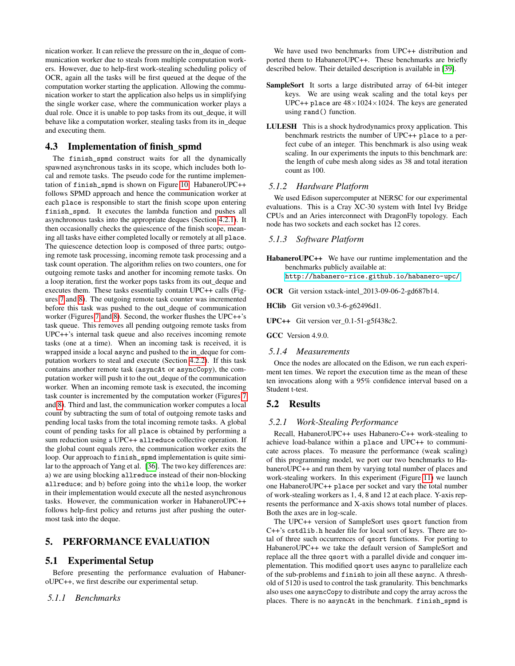nication worker. It can relieve the pressure on the in\_deque of communication worker due to steals from multiple computation workers. However, due to help-first work-stealing scheduling policy of OCR, again all the tasks will be first queued at the deque of the computation worker starting the application. Allowing the communication worker to start the application also helps us in simplifying the single worker case, where the communication worker plays a dual role. Once it is unable to pop tasks from its out\_deque, it will behave like a computation worker, stealing tasks from its in\_deque and executing them.

# <span id="page-6-1"></span>4.3 Implementation of finish\_spmd

The finish\_spmd construct waits for all the dynamically spawned asynchronous tasks in its scope, which includes both local and remote tasks. The pseudo code for the runtime implementation of finish\_spmd is shown on Figure [10.](#page-7-0) HabaneroUPC++ follows SPMD approach and hence the communication worker at each place is responsible to start the finish scope upon entering finish\_spmd. It executes the lambda function and pushes all asynchronous tasks into the appropriate deques (Section [4.2.1\)](#page-5-2). It then occasionally checks the quiescence of the finish scope, meaning all tasks have either completed locally or remotely at all place. The quiescence detection loop is composed of three parts; outgoing remote task processing, incoming remote task processing and a task count operation. The algorithm relies on two counters, one for outgoing remote tasks and another for incoming remote tasks. On a loop iteration, first the worker pops tasks from its out\_deque and executes them. These tasks essentially contain UPC++ calls (Figures [7](#page-4-3) and [8\)](#page-4-4). The outgoing remote task counter was incremented before this task was pushed to the out\_deque of communication worker (Figures [7](#page-4-3) and [8\)](#page-4-4). Second, the worker flushes the UPC++'s task queue. This removes all pending outgoing remote tasks from UPC++'s internal task queue and also receives incoming remote tasks (one at a time). When an incoming task is received, it is wrapped inside a local async and pushed to the in\_deque for computation workers to steal and execute (Section [4.2.2\)](#page-5-3). If this task contains another remote task (asyncAt or asyncCopy), the computation worker will push it to the out\_deque of the communication worker. When an incoming remote task is executed, the incoming task counter is incremented by the computation worker (Figures [7](#page-4-3) and [8\)](#page-4-4). Third and last, the communication worker computes a local count by subtracting the sum of total of outgoing remote tasks and pending local tasks from the total incoming remote tasks. A global count of pending tasks for all place is obtained by performing a sum reduction using a UPC++ allreduce collective operation. If the global count equals zero, the communication worker exits the loop. Our approach to finish\_spmd implementation is quite similar to the approach of Yang et al. [\[36\]](#page-9-30). The two key differences are: a) we are using blocking allreduce instead of their non-blocking allreduce; and b) before going into the while loop, the worker in their implementation would execute all the nested asynchronous tasks. However, the communication worker in HabaneroUPC++ follows help-first policy and returns just after pushing the outermost task into the deque.

# <span id="page-6-0"></span>5. PERFORMANCE EVALUATION

### 5.1 Experimental Setup

Before presenting the performance evaluation of HabaneroUPC++, we first describe our experimental setup.

*5.1.1 Benchmarks*

We have used two benchmarks from UPC++ distribution and ported them to HabaneroUPC++. These benchmarks are briefly described below. Their detailed description is available in [\[39\]](#page-9-0).

- SampleSort It sorts a large distributed array of 64-bit integer keys. We are using weak scaling and the total keys per UPC++ place are  $48 \times 1024 \times 1024$ . The keys are generated using rand() function.
- LULESH This is a shock hydrodynamics proxy application. This benchmark restricts the number of UPC++ place to a perfect cube of an integer. This benchmark is also using weak scaling. In our experiments the inputs to this benchmark are: the length of cube mesh along sides as 38 and total iteration count as 100.

### *5.1.2 Hardware Platform*

We used Edison supercomputer at NERSC for our experimental evaluations. This is a Cray XC-30 system with Intel Ivy Bridge CPUs and an Aries interconnect with DragonFly topology. Each node has two sockets and each socket has 12 cores.

### *5.1.3 Software Platform*

HabaneroUPC++ We have our runtime implementation and the benchmarks publicly available at: <http://habanero-rice.github.io/habanero-upc/>

OCR Git version xstack-intel 2013-09-06-2-gd687b14.

HClib Git version v0.3-6-g62496d1.

UPC++ Git version ver\_0.1-51-g5f438c2.

GCC Version 4.9.0.

### *5.1.4 Measurements*

Once the nodes are allocated on the Edison, we run each experiment ten times. We report the execution time as the mean of these ten invocations along with a 95% confidence interval based on a Student t-test.

# 5.2 Results

### *5.2.1 Work-Stealing Performance*

Recall, HabaneroUPC++ uses Habanero-C++ work-stealing to achieve load-balance within a place and UPC++ to communicate across places. To measure the performance (weak scaling) of this programming model, we port our two benchmarks to HabaneroUPC++ and run them by varying total number of places and work-stealing workers. In this experiment (Figure [11\)](#page-7-1) we launch one HabaneroUPC++ place per socket and vary the total number of work-stealing workers as 1, 4, 8 and 12 at each place. Y-axis represents the performance and X-axis shows total number of places. Both the axes are in log-scale.

The UPC++ version of SampleSort uses qsort function from C++'s cstdlib.h header file for local sort of keys. There are total of three such occurrences of qsort functions. For porting to HabaneroUPC++ we take the default version of SampleSort and replace all the three qsort with a parallel divide and conquer implementation. This modified qsort uses async to parallelize each of the sub-problems and finish to join all these async. A threshold of 5120 is used to control the task granularity. This benchmarks also uses one asyncCopy to distribute and copy the array across the places. There is no asyncAt in the benchmark. finish\_spmd is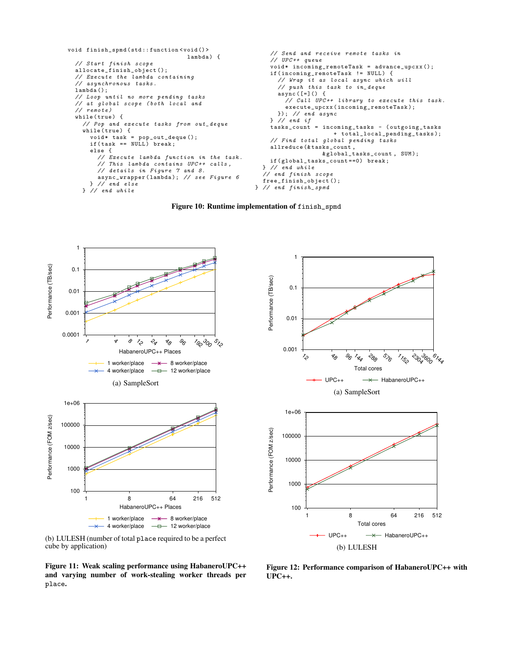```
void finish_spmd ( std :: function < void () >
                                   lambda) {
  // Start finish scope
allocate_finish_object ();
  // Execute the lambda containing
  // asynchronous tasks .
  lambda ();
  // Loop until no more pending tasks
  // at global scope ( both local and
  // remote )
  while (true) {
    // Pop and execute tasks from out_deque
    while (true) {<br>void* task =
                    pop_out_deque();
      if (task == NULL) break;else {
        // Execute lambda function in the task .
         // This lambda contains UPC ++ calls ,
        // details in Figure 7 and 8.
        async_wrapper ( lambda ); // see Figure 6
      } // end else
    } // end while
                                                           // Send and receive remote tasks in
                                                           // UPC ++ queue
                                                           void* incoming_remoteTask = advance_upcxx();
                                                           if ( incoming_remoteTask != NULL ) {
                                                              // Wrap it as local async which will
                                                              // push this task to in_deque
                                                             async ([-]( )// Call UPC ++ library to execute this task .
                                                                execute_upcxx ( incoming_remoteTask );
                                                             }); // end async
                                                           } // end if
                                                           tasks_count = incoming_tasks - ( outgoing_tasks
                                                                              + total_local_pending_tasks );
                                                            // Find total global pending tasks
                                                           allreduce (& tasks, count,
                                                                          & global_tasks_count , SUM );
                                                           if ( global_tasks_count ==0) break ;
                                                         } // end while
                                                         // end finish scope
                                                         free_finish_object ();
                                                       } // end finish_spmd
```


<span id="page-7-2"></span>

<span id="page-7-3"></span>(b) LULESH (number of total place required to be a perfect cube by application)

Figure 11: Weak scaling performance using HabaneroUPC++ and varying number of work-stealing worker threads per place.

<span id="page-7-5"></span><span id="page-7-0"></span>

<span id="page-7-4"></span>

<span id="page-7-6"></span><span id="page-7-1"></span>Figure 12: Performance comparison of HabaneroUPC++ with UPC++.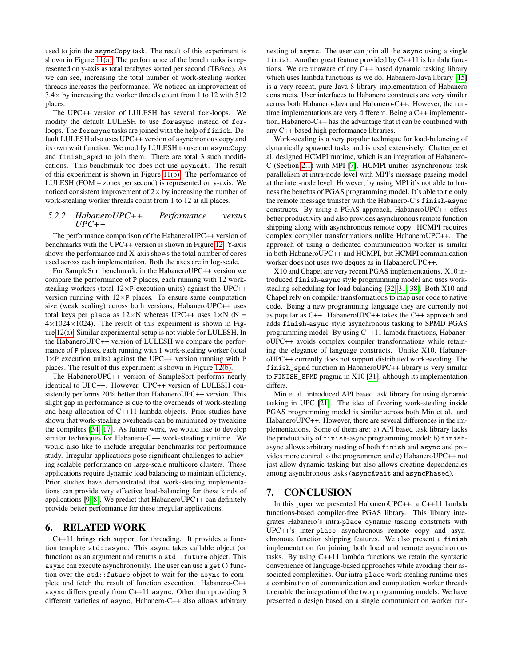used to join the asyncCopy task. The result of this experiment is shown in Figure [11\(a\).](#page-7-2) The performance of the benchmarks is represented on y-axis as total terabytes sorted per second (TB/sec). As we can see, increasing the total number of work-stealing worker threads increases the performance. We noticed an improvement of  $3.4\times$  by increasing the worker threads count from 1 to 12 with 512 places.

The UPC++ version of LULESH has several for-loops. We modify the default LULESH to use forasync instead of forloops. The forasync tasks are joined with the help of finish. Default LULESH also uses UPC++ version of asynchronous copy and its own wait function. We modify LULESH to use our asyncCopy and finish\_spmd to join them. There are total 3 such modifications. This benchmark too does not use asyncAt. The result of this experiment is shown in Figure [11\(b\).](#page-7-3) The performance of LULESH (FOM – zones per second) is represented on y-axis. We noticed consistent improvement of  $2\times$  by increasing the number of work-stealing worker threads count from 1 to 12 at all places.

### *5.2.2 HabaneroUPC++ Performance versus UPC++*

The performance comparison of the HabaneroUPC++ version of benchmarks with the UPC++ version is shown in Figure [12.](#page-7-4) Y-axis shows the performance and X-axis shows the total number of cores used across each implementation. Both the axes are in log-scale.

For SampleSort benchmark, in the HabaneroUPC++ version we compare the performance of P places, each running with 12 workstealing workers (total  $12\times P$  execution units) against the UPC++ version running with  $12\times P$  places. To ensure same computation size (weak scaling) across both versions, HabaneroUPC++ uses total keys per place as  $12\times N$  whereas UPC++ uses  $1\times N$  (N =  $4 \times 1024 \times 1024$ ). The result of this experiment is shown in Figure [12\(a\).](#page-7-5) Similar experimental setup is not viable for LULESH. In the HabaneroUPC++ version of LULESH we compare the performance of P places, each running with 1 work-stealing worker (total  $1\times P$  execution units) against the UPC++ version running with P places. The result of this experiment is shown in Figure [12\(b\).](#page-7-6)

The HabaneroUPC++ version of SampleSort performs nearly identical to UPC++. However, UPC++ version of LULESH consistently performs 20% better than HabaneroUPC++ version. This slight gap in performance is due to the overheads of work-stealing and heap allocation of C++11 lambda objects. Prior studies have shown that work-stealing overheads can be minimized by tweaking the compilers [\[34,](#page-9-31) [17\]](#page-9-32). As future work, we would like to develop similar techniques for Habanero-C++ work-stealing runtime. We would also like to include irregular benchmarks for performance study. Irregular applications pose significant challenges to achieving scalable performance on large-scale multicore clusters. These applications require dynamic load balancing to maintain efficiency. Prior studies have demonstrated that work-stealing implementations can provide very effective load-balancing for these kinds of applications [\[9,](#page-9-33) [8\]](#page-9-34). We predict that HabaneroUPC++ can definitely provide better performance for these irregular applications.

# <span id="page-8-0"></span>6. RELATED WORK

C++11 brings rich support for threading. It provides a function template std::async. This async takes callable object (or function) as an argument and returns a std:: future object. This async can execute asynchronously. The user can use a get() function over the std::future object to wait for the async to complete and fetch the result of function execution. Habanero-C++ async differs greatly from C++11 async. Other than providing 3 different varieties of async, Habanero-C++ also allows arbitrary nesting of async. The user can join all the async using a single finish. Another great feature provided by C++11 is lambda functions. We are unaware of any C++ based dynamic tasking library which uses lambda functions as we do. Habanero-Java library [\[15\]](#page-9-35) is a very recent, pure Java 8 library implementation of Habanero constructs. User interfaces to Habanero constructs are very similar across both Habanero-Java and Habanero-C++. However, the runtime implementations are very different. Being a C++ implementation, Habanero-C++ has the advantage that it can be combined with any C++ based high performance libraries.

Work-stealing is a very popular technique for load-balancing of dynamically spawned tasks and is used extensively. Chatterjee et al. designed HCMPI runtime, which is an integration of Habanero-C (Section [2.1\)](#page-1-2) with MPI [\[7\]](#page-9-15). HCMPI unifies asynchronous task parallelism at intra-node level with MPI's message passing model at the inter-node level. However, by using MPI it's not able to harness the benefits of PGAS programming model. It's able to tie only the remote message transfer with the Habanero-C's finish-async constructs. By using a PGAS approach, HabaneroUPC++ offers better productivity and also provides asynchronous remote function shipping along with asynchronous remote copy. HCMPI requires complex compiler transformations unlike HabaneroUPC++. The approach of using a dedicated communication worker is similar in both HabaneroUPC++ and HCMPI, but HCMPI communication worker does not uses two deques as in HabaneroUPC++.

X10 and Chapel are very recent PGAS implementations. X10 introduced finish-async style programming model and uses workstealing scheduling for load-balancing [\[32,](#page-9-36) [31,](#page-9-37) [38\]](#page-9-38). Both X10 and Chapel rely on compiler transformations to map user code to native code. Being a new programming language they are currently not as popular as C++. HabaneroUPC++ takes the C++ approach and adds finish-async style asynchronous tasking to SPMD PGAS programming model. By using C++11 lambda functions, HabaneroUPC++ avoids complex compiler transformations while retaining the elegance of language constructs. Unlike X10, HabaneroUPC++ currently does not support distributed work-stealing. The finish\_spmd function in HabaneroUPC++ library is very similar to FINISH\_SPMD pragma in X10 [\[31\]](#page-9-37), although its implementation differs.

Min et al. introduced API based task library for using dynamic tasking in UPC [\[21\]](#page-9-14). The idea of favoring work-stealing inside PGAS programming model is similar across both Min et al. and HabaneroUPC++. However, there are several differences in the implementations. Some of them are: a) API based task library lacks the productivity of finish-async programming model; b) finishasync allows arbitrary nesting of both finish and async and provides more control to the programmer; and c) HabaneroUPC++ not just allow dynamic tasking but also allows creating dependencies among asynchronous tasks (asyncAwait and asyncPhased).

# <span id="page-8-1"></span>7. CONCLUSION

In this paper we presented HabaneroUPC++, a C++11 lambda functions-based compiler-free PGAS library. This library integrates Habanero's intra-place dynamic tasking constructs with UPC++'s inter-place asynchronous remote copy and asynchronous function shipping features. We also present a finish implementation for joining both local and remote asynchronous tasks. By using C++11 lambda functions we retain the syntactic convenience of language-based approaches while avoiding their associated complexities. Our intra-place work-stealing runtime uses a combination of communication and computation worker threads to enable the integration of the two programming models. We have presented a design based on a single communication worker run